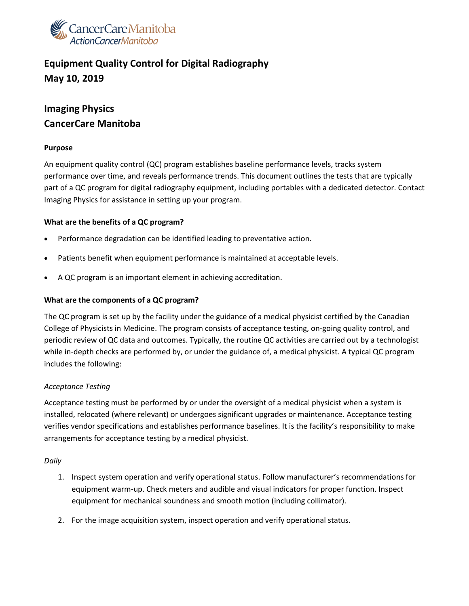

# **Equipment Quality Control for Digital Radiography May 10, 2019**

# **Imaging Physics CancerCare Manitoba**

## **Purpose**

An equipment quality control (QC) program establishes baseline performance levels, tracks system performance over time, and reveals performance trends. This document outlines the tests that are typically part of a QC program for digital radiography equipment, including portables with a dedicated detector. Contact Imaging Physics for assistance in setting up your program.

## **What are the benefits of a QC program?**

- Performance degradation can be identified leading to preventative action.
- Patients benefit when equipment performance is maintained at acceptable levels.
- A QC program is an important element in achieving accreditation.

## **What are the components of a QC program?**

The QC program is set up by the facility under the guidance of a medical physicist certified by the Canadian College of Physicists in Medicine. The program consists of acceptance testing, on-going quality control, and periodic review of QC data and outcomes. Typically, the routine QC activities are carried out by a technologist while in-depth checks are performed by, or under the guidance of, a medical physicist. A typical QC program includes the following:

## *Acceptance Testing*

Acceptance testing must be performed by or under the oversight of a medical physicist when a system is installed, relocated (where relevant) or undergoes significant upgrades or maintenance. Acceptance testing verifies vendor specifications and establishes performance baselines. It is the facility's responsibility to make arrangements for acceptance testing by a medical physicist.

### *Daily*

- 1. Inspect system operation and verify operational status. Follow manufacturer's recommendations for equipment warm-up. Check meters and audible and visual indicators for proper function. Inspect equipment for mechanical soundness and smooth motion (including collimator).
- 2. For the image acquisition system, inspect operation and verify operational status.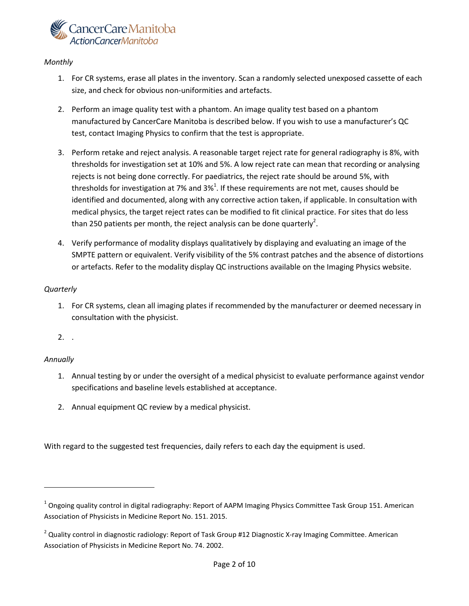

### *Monthly*

- 1. For CR systems, erase all plates in the inventory. Scan a randomly selected unexposed cassette of each size, and check for obvious non-uniformities and artefacts.
- 2. Perform an image quality test with a phantom. An image quality test based on a phantom manufactured by CancerCare Manitoba is described below. If you wish to use a manufacturer's QC test, contact Imaging Physics to confirm that the test is appropriate.
- 3. Perform retake and reject analysis. A reasonable target reject rate for general radiography is 8%, with thresholds for investigation set at 10% and 5%. A low reject rate can mean that recording or analysing rejects is not being done correctly. For paediatrics, the reject rate should be around 5%, with thresholds for investigation at 7% and 3%<sup>1</sup>. If these requirements are not met, causes should be identified and documented, along with any corrective action taken, if applicable. In consultation with medical physics, the target reject rates can be modified to fit clinical practice. For sites that do less than 250 patients per month, the reject analysis can be done quarterly<sup>2</sup>.
- 4. Verify performance of modality displays qualitatively by displaying and evaluating an image of the SMPTE pattern or equivalent. Verify visibility of the 5% contrast patches and the absence of distortions or artefacts. Refer to the modality display QC instructions available on the Imaging Physics website.

## *Quarterly*

- 1. For CR systems, clean all imaging plates if recommended by the manufacturer or deemed necessary in consultation with the physicist.
- 2. .

# *Annually*

 $\overline{a}$ 

- 1. Annual testing by or under the oversight of a medical physicist to evaluate performance against vendor specifications and baseline levels established at acceptance.
- 2. Annual equipment QC review by a medical physicist.

With regard to the suggested test frequencies, daily refers to each day the equipment is used.

 $^1$  Ongoing quality control in digital radiography: Report of AAPM Imaging Physics Committee Task Group 151. American Association of Physicists in Medicine Report No. 151. 2015.

 $^2$  Quality control in diagnostic radiology: Report of Task Group #12 Diagnostic X-ray Imaging Committee. American Association of Physicists in Medicine Report No. 74. 2002.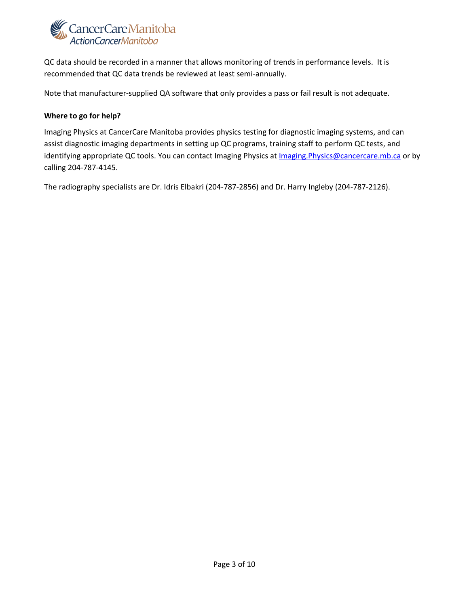

QC data should be recorded in a manner that allows monitoring of trends in performance levels. It is recommended that QC data trends be reviewed at least semi-annually.

Note that manufacturer-supplied QA software that only provides a pass or fail result is not adequate.

#### **Where to go for help?**

Imaging Physics at CancerCare Manitoba provides physics testing for diagnostic imaging systems, and can assist diagnostic imaging departments in setting up QC programs, training staff to perform QC tests, and identifying appropriate QC tools. You can contact Imaging Physics at Imaging. Physics@cancercare.mb.ca or by calling 204-787-4145.

The radiography specialists are Dr. Idris Elbakri (204-787-2856) and Dr. Harry Ingleby (204-787-2126).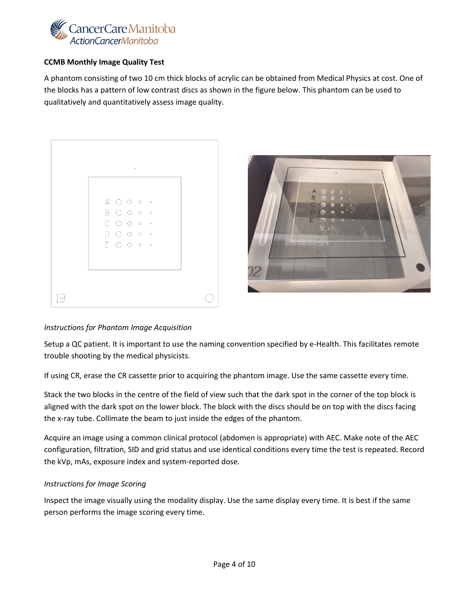

## **CCMB Monthly Image Quality Test**

A phantom consisting of two 10 cm thick blocks of acrylic can be obtained from Medical Physics at cost. One of the blocks has a pattern of low contrast discs as shown in the figure below. This phantom can be used to qualitatively and quantitatively assess image quality.

|  |                                                                                                      | $\circ$ |                       |  |  |
|--|------------------------------------------------------------------------------------------------------|---------|-----------------------|--|--|
|  | $\begin{array}{cccccccccccccc} \triangle & \bigcirc & \circ & \circ & \circ & \circ \end{array}$     |         |                       |  |  |
|  | B O O o .                                                                                            |         |                       |  |  |
|  | $\begin{array}{ccc} \text{C} & \text{O} & \text{O} & \text{o} & \circ \end{array}$                   |         |                       |  |  |
|  | $\begin{array}{ccc} \square & \square & \square & \square & \square & \square & \square \end{array}$ |         |                       |  |  |
|  | $E$ $O$ $O$ $\circ$                                                                                  |         | $\qquad \qquad \circ$ |  |  |
|  |                                                                                                      |         |                       |  |  |
|  |                                                                                                      |         |                       |  |  |



## *Instructions for Phantom Image Acquisition*

Setup a QC patient. It is important to use the naming convention specified by e-Health. This facilitates remote trouble shooting by the medical physicists.

If using CR, erase the CR cassette prior to acquiring the phantom image. Use the same cassette every time.

Stack the two blocks in the centre of the field of view such that the dark spot in the corner of the top block is aligned with the dark spot on the lower block. The block with the discs should be on top with the discs facing the x-ray tube. Collimate the beam to just inside the edges of the phantom.

Acquire an image using a common clinical protocol (abdomen is appropriate) with AEC. Make note of the AEC configuration, filtration, SID and grid status and use identical conditions every time the test is repeated. Record the kVp, mAs, exposure index and system-reported dose.

### *Instructions for Image Scoring*

Inspect the image visually using the modality display. Use the same display every time. It is best if the same person performs the image scoring every time.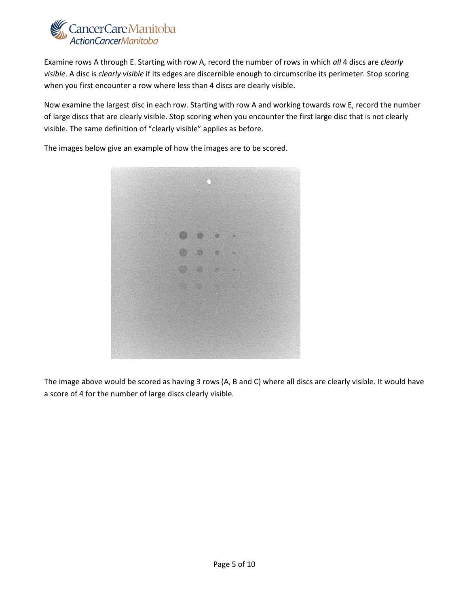

Examine rows A through E. Starting with row A, record the number of rows in which *all* 4 discs are *clearly visible*. A disc is *clearly visible* if its edges are discernible enough to circumscribe its perimeter. Stop scoring when you first encounter a row where less than 4 discs are clearly visible.

Now examine the largest disc in each row. Starting with row A and working towards row E, record the number of large discs that are clearly visible. Stop scoring when you encounter the first large disc that is not clearly visible. The same definition of "clearly visible" applies as before.

The images below give an example of how the images are to be scored.



The image above would be scored as having 3 rows (A, B and C) where all discs are clearly visible. It would have a score of 4 for the number of large discs clearly visible.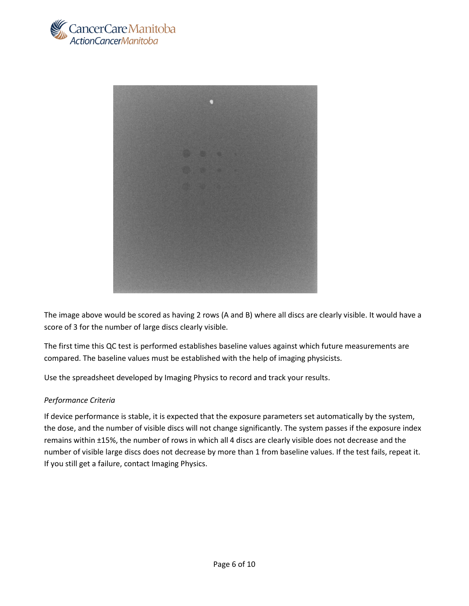



The image above would be scored as having 2 rows (A and B) where all discs are clearly visible. It would have a score of 3 for the number of large discs clearly visible.

The first time this QC test is performed establishes baseline values against which future measurements are compared. The baseline values must be established with the help of imaging physicists.

Use the spreadsheet developed by Imaging Physics to record and track your results.

### *Performance Criteria*

If device performance is stable, it is expected that the exposure parameters set automatically by the system, the dose, and the number of visible discs will not change significantly. The system passes if the exposure index remains within ±15%, the number of rows in which all 4 discs are clearly visible does not decrease and the number of visible large discs does not decrease by more than 1 from baseline values. If the test fails, repeat it. If you still get a failure, contact Imaging Physics.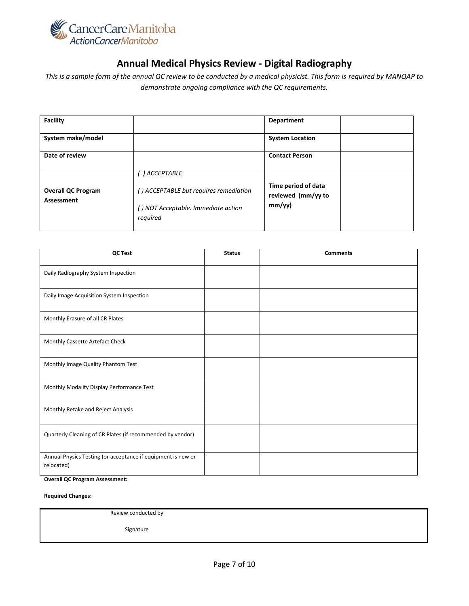

# **Annual Medical Physics Review - Digital Radiography**

*This is a sample form of the annual QC review to be conducted by a medical physicist. This form is required by MANQAP to demonstrate ongoing compliance with the QC requirements.* 

| <b>Facility</b>                         |                                                                                                           | <b>Department</b>                                   |
|-----------------------------------------|-----------------------------------------------------------------------------------------------------------|-----------------------------------------------------|
| System make/model                       |                                                                                                           | <b>System Location</b>                              |
| Date of review                          |                                                                                                           | <b>Contact Person</b>                               |
| <b>Overall QC Program</b><br>Assessment | ACCEPTABLE )<br>() ACCEPTABLE but requires remediation<br>() NOT Acceptable. Immediate action<br>required | Time period of data<br>reviewed (mm/yy to<br>mm/yy) |

| QC Test                                                                    | <b>Status</b> | <b>Comments</b> |
|----------------------------------------------------------------------------|---------------|-----------------|
| Daily Radiography System Inspection                                        |               |                 |
| Daily Image Acquisition System Inspection                                  |               |                 |
| Monthly Erasure of all CR Plates                                           |               |                 |
| Monthly Cassette Artefact Check                                            |               |                 |
| Monthly Image Quality Phantom Test                                         |               |                 |
| Monthly Modality Display Performance Test                                  |               |                 |
| Monthly Retake and Reject Analysis                                         |               |                 |
| Quarterly Cleaning of CR Plates (if recommended by vendor)                 |               |                 |
| Annual Physics Testing (or acceptance if equipment is new or<br>relocated) |               |                 |

**Overall QC Program Assessment:**

**Required Changes:**

Review conducted by

Signature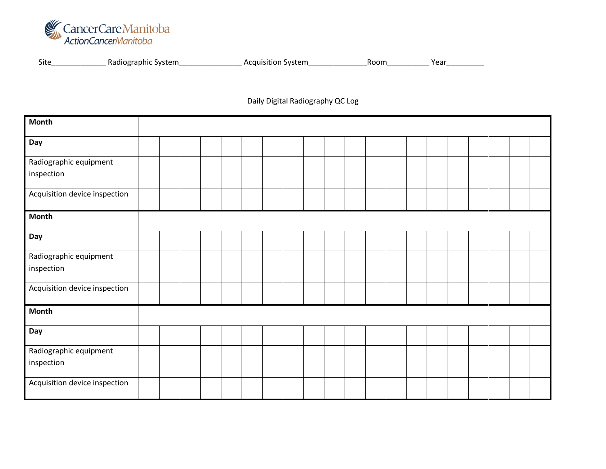

| $\sim$<br>Site | System<br>л.<br>----<br>rapnic | - -- -<br>.<br>→v· |  | ear |
|----------------|--------------------------------|--------------------|--|-----|
|----------------|--------------------------------|--------------------|--|-----|

# Daily Digital Radiography QC Log

| <b>Month</b>                  |  |  |  |  |  |  |  |  |  |  |
|-------------------------------|--|--|--|--|--|--|--|--|--|--|
|                               |  |  |  |  |  |  |  |  |  |  |
| Day                           |  |  |  |  |  |  |  |  |  |  |
| Radiographic equipment        |  |  |  |  |  |  |  |  |  |  |
| inspection                    |  |  |  |  |  |  |  |  |  |  |
| Acquisition device inspection |  |  |  |  |  |  |  |  |  |  |
| <b>Month</b>                  |  |  |  |  |  |  |  |  |  |  |
| Day                           |  |  |  |  |  |  |  |  |  |  |
| Radiographic equipment        |  |  |  |  |  |  |  |  |  |  |
| inspection                    |  |  |  |  |  |  |  |  |  |  |
| Acquisition device inspection |  |  |  |  |  |  |  |  |  |  |
| Month                         |  |  |  |  |  |  |  |  |  |  |
| Day                           |  |  |  |  |  |  |  |  |  |  |
| Radiographic equipment        |  |  |  |  |  |  |  |  |  |  |
| inspection                    |  |  |  |  |  |  |  |  |  |  |
| Acquisition device inspection |  |  |  |  |  |  |  |  |  |  |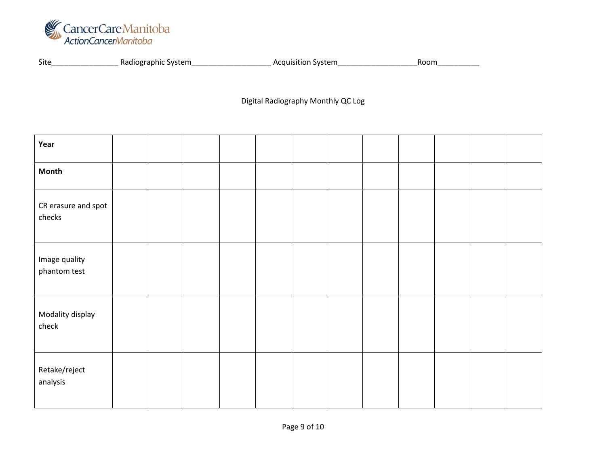

| Site | svstem<br>rannic.<br>na.<br>3071 | svsteni<br>`‼SI⊾<br>חחו־ | --<br>nnr |
|------|----------------------------------|--------------------------|-----------|
|      |                                  |                          |           |

Digital Radiography Monthly QC Log

| Year                          |  |  |  |  |  |  |
|-------------------------------|--|--|--|--|--|--|
| <b>Month</b>                  |  |  |  |  |  |  |
| CR erasure and spot<br>checks |  |  |  |  |  |  |
| Image quality<br>phantom test |  |  |  |  |  |  |
| Modality display<br>check     |  |  |  |  |  |  |
| Retake/reject<br>analysis     |  |  |  |  |  |  |